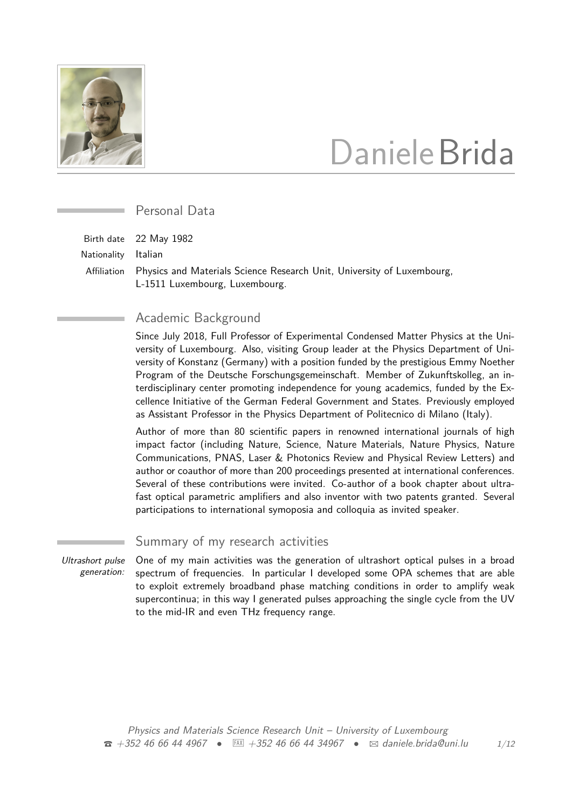

# DanieleBrida

Personal Data

Birth date 22 May 1982

Nationality Italian

Affiliation Physics and Materials Science Research Unit, University of Luxembourg, L-1511 Luxembourg, Luxembourg.

# Academic Background

Since July 2018, Full Professor of Experimental Condensed Matter Physics at the University of Luxembourg. Also, visiting Group leader at the Physics Department of University of Konstanz (Germany) with a position funded by the prestigious Emmy Noether Program of the Deutsche Forschungsgemeinschaft. Member of Zukunftskolleg, an interdisciplinary center promoting independence for young academics, funded by the Excellence Initiative of the German Federal Government and States. Previously employed as Assistant Professor in the Physics Department of Politecnico di Milano (Italy).

Author of more than 80 scientific papers in renowned international journals of high impact factor (including Nature, Science, Nature Materials, Nature Physics, Nature Communications, PNAS, Laser & Photonics Review and Physical Review Letters) and author or coauthor of more than 200 proceedings presented at international conferences. Several of these contributions were invited. Co-author of a book chapter about ultrafast optical parametric amplifiers and also inventor with two patents granted. Several participations to international symoposia and colloquia as invited speaker.

Summary of my research activities

Ultrashort pulse generation: One of my main activities was the generation of ultrashort optical pulses in a broad spectrum of frequencies. In particular I developed some OPA schemes that are able to exploit extremely broadband phase matching conditions in order to amplify weak supercontinua; in this way I generated pulses approaching the single cycle from the UV to the mid-IR and even THz frequency range.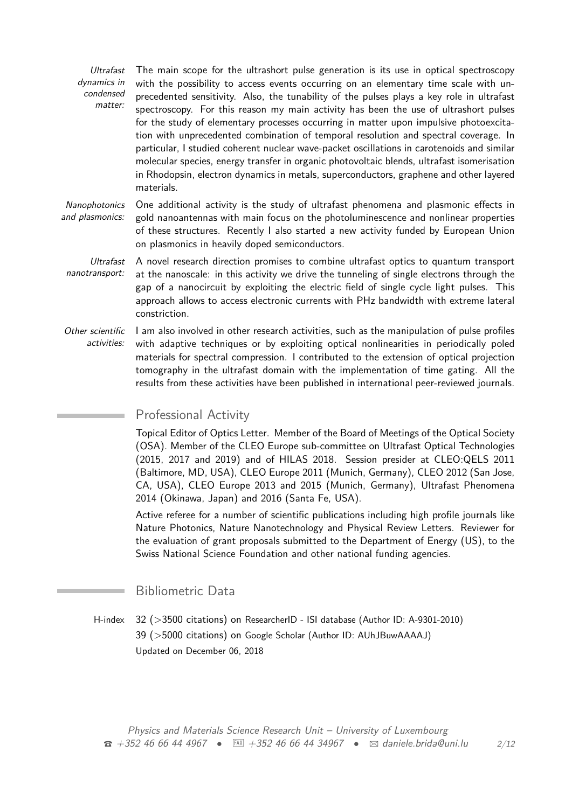Ultrafast dynamics in condensed matter: The main scope for the ultrashort pulse generation is its use in optical spectroscopy with the possibility to access events occurring on an elementary time scale with unprecedented sensitivity. Also, the tunability of the pulses plays a key role in ultrafast spectroscopy. For this reason my main activity has been the use of ultrashort pulses for the study of elementary processes occurring in matter upon impulsive photoexcitation with unprecedented combination of temporal resolution and spectral coverage. In particular, I studied coherent nuclear wave-packet oscillations in carotenoids and similar molecular species, energy transfer in organic photovoltaic blends, ultrafast isomerisation in Rhodopsin, electron dynamics in metals, superconductors, graphene and other layered materials.

**Nanophotonics** and plasmonics: One additional activity is the study of ultrafast phenomena and plasmonic effects in gold nanoantennas with main focus on the photoluminescence and nonlinear properties of these structures. Recently I also started a new activity funded by European Union on plasmonics in heavily doped semiconductors.

- Ultrafast nanotransport: A novel research direction promises to combine ultrafast optics to quantum transport at the nanoscale: in this activity we drive the tunneling of single electrons through the gap of a nanocircuit by exploiting the electric field of single cycle light pulses. This approach allows to access electronic currents with PHz bandwidth with extreme lateral constriction.
- Other scientific activities: I am also involved in other research activities, such as the manipulation of pulse profiles with adaptive techniques or by exploiting optical nonlinearities in periodically poled materials for spectral compression. I contributed to the extension of optical projection tomography in the ultrafast domain with the implementation of time gating. All the results from these activities have been published in international peer-reviewed journals.

# Professional Activity

Topical Editor of Optics Letter. Member of the Board of Meetings of the Optical Society (OSA). Member of the CLEO Europe sub-committee on Ultrafast Optical Technologies (2015, 2017 and 2019) and of HILAS 2018. Session presider at CLEO:QELS 2011 (Baltimore, MD, USA), CLEO Europe 2011 (Munich, Germany), CLEO 2012 (San Jose, CA, USA), CLEO Europe 2013 and 2015 (Munich, Germany), Ultrafast Phenomena 2014 (Okinawa, Japan) and 2016 (Santa Fe, USA).

Active referee for a number of scientific publications including high profile journals like Nature Photonics, Nature Nanotechnology and Physical Review Letters. Reviewer for the evaluation of grant proposals submitted to the Department of Energy (US), to the Swiss National Science Foundation and other national funding agencies.

# Bibliometric Data

H-index 32 (>3500 citations) on [ResearcherID - ISI database \(Author ID: A-9301-2010\)](http://www.researcherid.com/rid/A-9301-2010) 39 (>5000 citations) on [Google Scholar \(Author ID: AUhJBuwAAAAJ\)](http://scholar.google.it/citations?user=AUhJBuwAAAAJ) Updated on December 06, 2018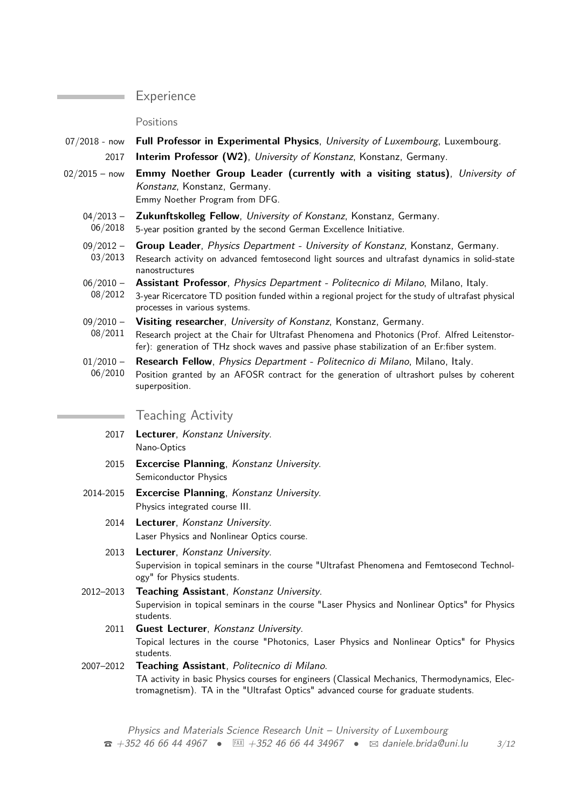## **Experience**

Positions

- 07/2018 now **Full Professor in Experimental Physics**, University of Luxembourg, Luxembourg.
	- 2017 **Interim Professor (W2)**, University of Konstanz, Konstanz, Germany.
- 02/2015 now **Emmy Noether Group Leader (currently with a visiting status)**, University of Konstanz, Konstanz, Germany. Emmy Noether Program from DFG.

 $04/2013 -$ **Zukunftskolleg Fellow**, University of Konstanz, Konstanz, Germany.

06/2018 5-year position granted by the second German Excellence Initiative.

- 09/2012 **Group Leader**, Physics Department - University of Konstanz, Konstanz, Germany.
- 03/2013 Research activity on advanced femtosecond light sources and ultrafast dynamics in solid-state nanostructures
- $06/2010 -$ **Assistant Professor**, Physics Department - Politecnico di Milano, Milano, Italy.
- 08/2012 3-year Ricercatore TD position funded within a regional project for the study of ultrafast physical processes in various systems.
- $09/2010 -$ 08/2011 **Visiting researcher**, University of Konstanz, Konstanz, Germany. Research project at the Chair for Ultrafast Phenomena and Photonics (Prof. Alfred Leitenstorfer): generation of THz shock waves and passive phase stabilization of an Er:fiber system.
- $01/2010 -$ **Research Fellow**, Physics Department - Politecnico di Milano, Milano, Italy.
- 06/2010 Position granted by an AFOSR contract for the generation of ultrashort pulses by coherent superposition.

# Teaching Activity

- 2017 **Lecturer**, Konstanz University. Nano-Optics
- 2015 **Excercise Planning**, Konstanz University. Semiconductor Physics
- 2014-2015 **Excercise Planning**, Konstanz University. Physics integrated course III.
	- 2014 **Lecturer**, Konstanz University. Laser Physics and Nonlinear Optics course.
	- 2013 **Lecturer**, Konstanz University. Supervision in topical seminars in the course "Ultrafast Phenomena and Femtosecond Technology" for Physics students.
- 2012–2013 **Teaching Assistant**, Konstanz University. Supervision in topical seminars in the course "Laser Physics and Nonlinear Optics" for Physics students.
	- 2011 **Guest Lecturer**, Konstanz University. Topical lectures in the course "Photonics, Laser Physics and Nonlinear Optics" for Physics students.

## 2007–2012 **Teaching Assistant**, Politecnico di Milano. TA activity in basic Physics courses for engineers (Classical Mechanics, Thermodynamics, Electromagnetism). TA in the "Ultrafast Optics" advanced course for graduate students.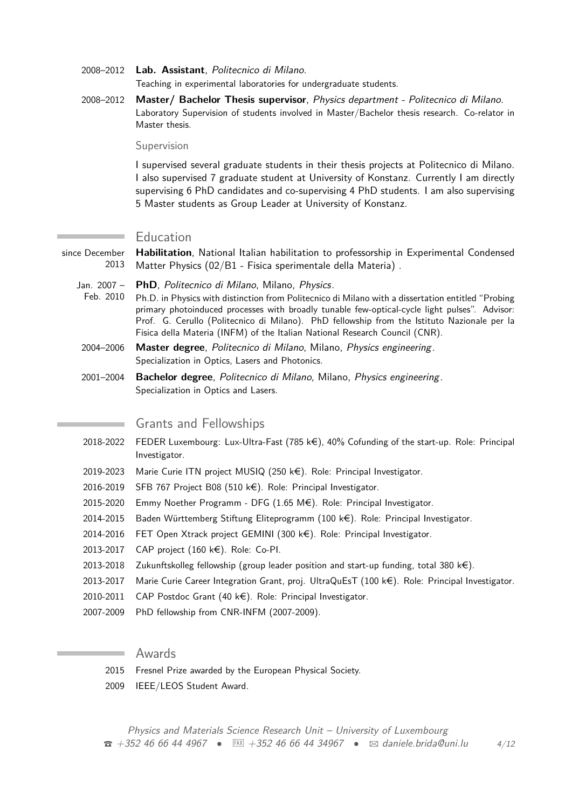- 2008–2012 **Lab. Assistant**, Politecnico di Milano. Teaching in experimental laboratories for undergraduate students.
- 2008–2012 **Master/ Bachelor Thesis supervisor**, Physics department Politecnico di Milano. Laboratory Supervision of students involved in Master/Bachelor thesis research. Co-relator in Master thesis.

#### Supervision

I supervised several graduate students in their thesis projects at Politecnico di Milano. I also supervised 7 graduate student at University of Konstanz. Currently I am directly supervising 6 PhD candidates and co-supervising 4 PhD students. I am also supervising 5 Master students as Group Leader at University of Konstanz.

#### Education

since December 2013 **Habilitation**, National Italian habilitation to professorship in Experimental Condensed Matter Physics (02/B1 - Fisica sperimentale della Materia) .

- Jan. 2007 **PhD**, Politecnico di Milano, Milano, Physics.
- Feb. 2010 Ph.D. in Physics with distinction from Politecnico di Milano with a dissertation entitled "Probing primary photoinduced processes with broadly tunable few-optical-cycle light pulses". Advisor: Prof. G. Cerullo (Politecnico di Milano). PhD fellowship from the Istituto Nazionale per la Fisica della Materia (INFM) of the Italian National Research Council (CNR).
- 2004–2006 **Master degree**, Politecnico di Milano, Milano, Physics engineering. Specialization in Optics, Lasers and Photonics.
- 2001–2004 **Bachelor degree**, Politecnico di Milano, Milano, Physics engineering. Specialization in Optics and Lasers.

## Grants and Fellowships

- 2018-2022 FEDER Luxembourg: Lux-Ultra-Fast (785 k $\epsilon$ ), 40% Cofunding of the start-up. Role: Principal Investigator.
- 2019-2023 Marie Curie ITN project MUSIQ (250 k€). Role: Principal Investigator.
- 2016-2019 SFB 767 Project B08 (510 k€). Role: Principal Investigator.
- 2015-2020 Emmy Noether Programm DFG  $(1.65 \text{ M}\epsilon)$ . Role: Principal Investigator.
- 2014-2015 Baden Württemberg Stiftung Eliteprogramm (100  $k\in$ ). Role: Principal Investigator.
- 2014-2016 FET Open Xtrack project GEMINI (300 k $\epsilon$ ). Role: Principal Investigator.
- 2013-2017 CAP project (160 k€). Role: Co-PI.
- 2013-2018 Zukunftskolleg fellowship (group leader position and start-up funding, total 380 k $\epsilon$ ).
- 2013-2017 Marie Curie Career Integration Grant, proj. UltraQuEsT (100 k€). Role: Principal Investigator.
- 2010-2011 CAP Postdoc Grant  $(40 \text{ kg})$ . Role: Principal Investigator.
- 2007-2009 PhD fellowship from CNR-INFM (2007-2009).

## Awards

- 2015 Fresnel Prize awarded by the European Physical Society.
- 2009 IEEE/LEOS Student Award.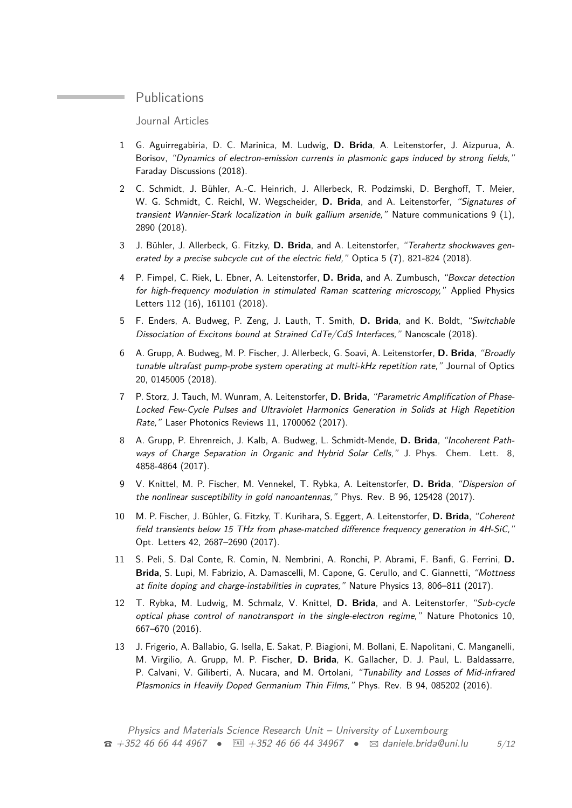## **Publications**

Journal Articles

- 1 G. Aguirregabiria, D. C. Marinica, M. Ludwig, **D. Brida**, A. Leitenstorfer, J. Aizpurua, A. Borisov, "Dynamics of electron-emission currents in plasmonic gaps induced by strong fields," Faraday Discussions (2018).
- 2 C. Schmidt, J. Bühler, A.-C. Heinrich, J. Allerbeck, R. Podzimski, D. Berghoff, T. Meier, W. G. Schmidt, C. Reichl, W. Wegscheider, **D. Brida**, and A. Leitenstorfer, "Signatures of transient Wannier-Stark localization in bulk gallium arsenide," Nature communications 9 (1), 2890 (2018).
- 3 J. Bühler, J. Allerbeck, G. Fitzky, **D. Brida**, and A. Leitenstorfer, "Terahertz shockwaves generated by a precise subcycle cut of the electric field," Optica 5 (7), 821-824 (2018).
- 4 P. Fimpel, C. Riek, L. Ebner, A. Leitenstorfer, **D. Brida**, and A. Zumbusch, "Boxcar detection for high-frequency modulation in stimulated Raman scattering microscopy," Applied Physics Letters 112 (16), 161101 (2018).
- 5 F. Enders, A. Budweg, P. Zeng, J. Lauth, T. Smith, **D. Brida**, and K. Boldt, "Switchable Dissociation of Excitons bound at Strained CdTe/CdS Interfaces," Nanoscale (2018).
- 6 A. Grupp, A. Budweg, M. P. Fischer, J. Allerbeck, G. Soavi, A. Leitenstorfer, **D. Brida**, "Broadly tunable ultrafast pump-probe system operating at multi-kHz repetition rate," Journal of Optics 20, 0145005 (2018).
- 7 P. Storz, J. Tauch, M. Wunram, A. Leitenstorfer, **D. Brida**, "Parametric Amplification of Phase-Locked Few-Cycle Pulses and Ultraviolet Harmonics Generation in Solids at High Repetition Rate," Laser Photonics Reviews 11, 1700062 (2017).
- 8 A. Grupp, P. Ehrenreich, J. Kalb, A. Budweg, L. Schmidt-Mende, **D. Brida**, "Incoherent Pathways of Charge Separation in Organic and Hybrid Solar Cells," J. Phys. Chem. Lett. 8, 4858-4864 (2017).
- 9 V. Knittel, M. P. Fischer, M. Vennekel, T. Rybka, A. Leitenstorfer, **D. Brida**, "Dispersion of the nonlinear susceptibility in gold nanoantennas," Phys. Rev. B 96, 125428 (2017).
- 10 M. P. Fischer, J. Bühler, G. Fitzky, T. Kurihara, S. Eggert, A. Leitenstorfer, **D. Brida**, "Coherent field transients below 15 THz from phase-matched difference frequency generation in 4H-SiC," Opt. Letters 42, 2687–2690 (2017).
- 11 S. Peli, S. Dal Conte, R. Comin, N. Nembrini, A. Ronchi, P. Abrami, F. Banfi, G. Ferrini, **D. Brida**, S. Lupi, M. Fabrizio, A. Damascelli, M. Capone, G. Cerullo, and C. Giannetti, "Mottness at finite doping and charge-instabilities in cuprates," Nature Physics 13, 806–811 (2017).
- 12 T. Rybka, M. Ludwig, M. Schmalz, V. Knittel, **D. Brida**, and A. Leitenstorfer, "Sub-cycle optical phase control of nanotransport in the single-electron regime," Nature Photonics 10, 667–670 (2016).
- 13 J. Frigerio, A. Ballabio, G. Isella, E. Sakat, P. Biagioni, M. Bollani, E. Napolitani, C. Manganelli, M. Virgilio, A. Grupp, M. P. Fischer, **D. Brida**, K. Gallacher, D. J. Paul, L. Baldassarre, P. Calvani, V. Giliberti, A. Nucara, and M. Ortolani, "Tunability and Losses of Mid-infrared Plasmonics in Heavily Doped Germanium Thin Films," Phys. Rev. B 94, 085202 (2016).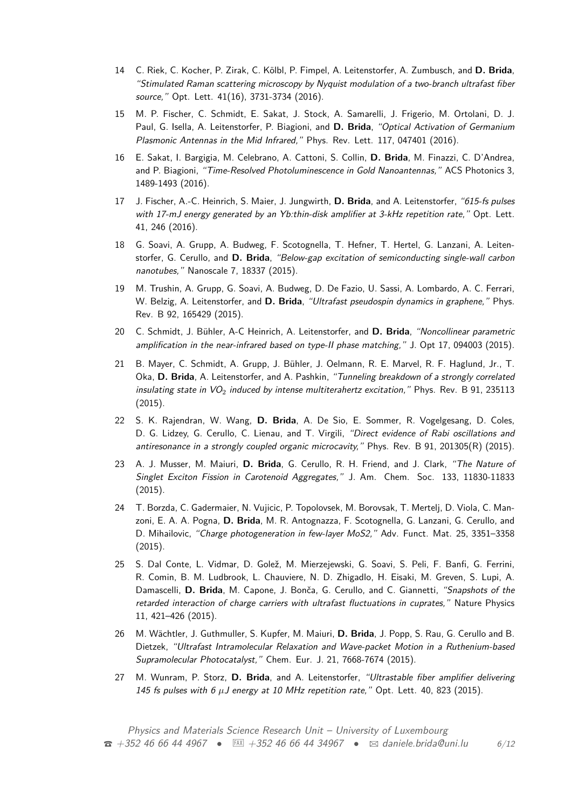- 14 C. Riek, C. Kocher, P. Zirak, C. Kölbl, P. Fimpel, A. Leitenstorfer, A. Zumbusch, and **D. Brida**, "Stimulated Raman scattering microscopy by Nyquist modulation of a two-branch ultrafast fiber source," Opt. Lett. 41(16), 3731-3734 (2016).
- 15 M. P. Fischer, C. Schmidt, E. Sakat, J. Stock, A. Samarelli, J. Frigerio, M. Ortolani, D. J. Paul, G. Isella, A. Leitenstorfer, P. Biagioni, and **D. Brida**, "Optical Activation of Germanium Plasmonic Antennas in the Mid Infrared," Phys. Rev. Lett. 117, 047401 (2016).
- 16 E. Sakat, I. Bargigia, M. Celebrano, A. Cattoni, S. Collin, **D. Brida**, M. Finazzi, C. D'Andrea, and P. Biagioni, "Time-Resolved Photoluminescence in Gold Nanoantennas," ACS Photonics 3, 1489-1493 (2016).
- 17 J. Fischer, A.-C. Heinrich, S. Maier, J. Jungwirth, **D. Brida**, and A. Leitenstorfer, "615-fs pulses with 17-mJ energy generated by an Yb:thin-disk amplifier at 3-kHz repetition rate," Opt. Lett. 41, 246 (2016).
- 18 G. Soavi, A. Grupp, A. Budweg, F. Scotognella, T. Hefner, T. Hertel, G. Lanzani, A. Leitenstorfer, G. Cerullo, and **D. Brida**, "Below-gap excitation of semiconducting single-wall carbon nanotubes," Nanoscale 7, 18337 (2015).
- 19 M. Trushin, A. Grupp, G. Soavi, A. Budweg, D. De Fazio, U. Sassi, A. Lombardo, A. C. Ferrari, W. Belzig, A. Leitenstorfer, and **D. Brida**, "Ultrafast pseudospin dynamics in graphene," Phys. Rev. B 92, 165429 (2015).
- 20 C. Schmidt, J. Bühler, A-C Heinrich, A. Leitenstorfer, and **D. Brida**, "Noncollinear parametric amplification in the near-infrared based on type-II phase matching," J. Opt 17, 094003 (2015).
- 21 B. Mayer, C. Schmidt, A. Grupp, J. Bühler, J. Oelmann, R. E. Marvel, R. F. Haglund, Jr., T. Oka, **D. Brida**, A. Leitenstorfer, and A. Pashkin, "Tunneling breakdown of a strongly correlated insulating state in  $VO_2$  induced by intense multiterahertz excitation," Phys. Rev. B 91, 235113 (2015).
- 22 S. K. Rajendran, W. Wang, **D. Brida**, A. De Sio, E. Sommer, R. Vogelgesang, D. Coles, D. G. Lidzey, G. Cerullo, C. Lienau, and T. Virgili, "Direct evidence of Rabi oscillations and antiresonance in a strongly coupled organic microcavity," Phys. Rev. B 91, 201305(R) (2015).
- 23 A. J. Musser, M. Maiuri, **D. Brida**, G. Cerullo, R. H. Friend, and J. Clark, "The Nature of Singlet Exciton Fission in Carotenoid Aggregates," J. Am. Chem. Soc. 133, 11830-11833 (2015).
- 24 T. Borzda, C. Gadermaier, N. Vujicic, P. Topolovsek, M. Borovsak, T. Mertelj, D. Viola, C. Manzoni, E. A. A. Pogna, **D. Brida**, M. R. Antognazza, F. Scotognella, G. Lanzani, G. Cerullo, and D. Mihailovic, "Charge photogeneration in few-layer MoS2," Adv. Funct. Mat. 25, 3351-3358 (2015).
- 25 S. Dal Conte, L. Vidmar, D. Golež, M. Mierzejewski, G. Soavi, S. Peli, F. Banfi, G. Ferrini, R. Comin, B. M. Ludbrook, L. Chauviere, N. D. Zhigadlo, H. Eisaki, M. Greven, S. Lupi, A. Damascelli, **D. Brida**, M. Capone, J. Bonča, G. Cerullo, and C. Giannetti, "Snapshots of the retarded interaction of charge carriers with ultrafast fluctuations in cuprates," Nature Physics 11, 421–426 (2015).
- 26 M. Wächtler, J. Guthmuller, S. Kupfer, M. Maiuri, **D. Brida**, J. Popp, S. Rau, G. Cerullo and B. Dietzek, "Ultrafast Intramolecular Relaxation and Wave-packet Motion in a Ruthenium-based Supramolecular Photocatalyst," Chem. Eur. J. 21, 7668-7674 (2015).
- 27 M. Wunram, P. Storz, **D. Brida**, and A. Leitenstorfer, "Ultrastable fiber amplifier delivering 145 fs pulses with 6 μJ energy at 10 MHz repetition rate," Opt. Lett. 40, 823 (2015).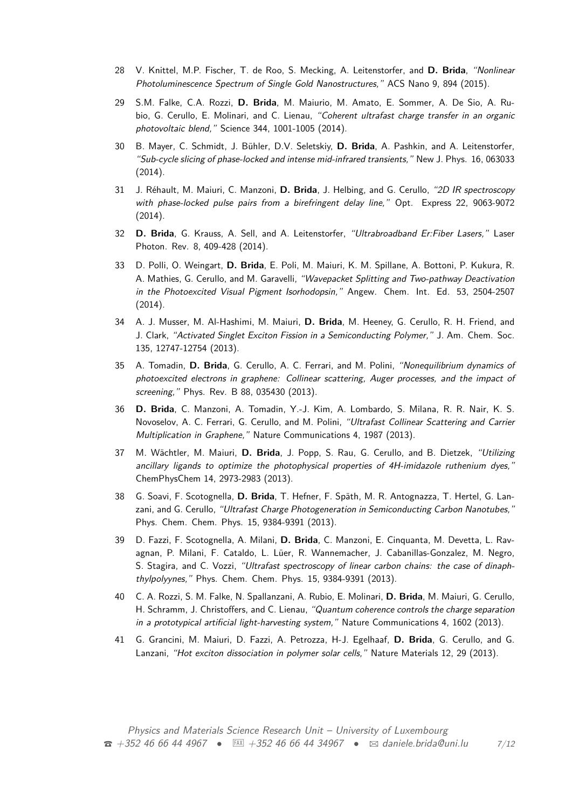- 28 V. Knittel, M.P. Fischer, T. de Roo, S. Mecking, A. Leitenstorfer, and **D. Brida**, "Nonlinear Photoluminescence Spectrum of Single Gold Nanostructures," ACS Nano 9, 894 (2015).
- 29 S.M. Falke, C.A. Rozzi, **D. Brida**, M. Maiurio, M. Amato, E. Sommer, A. De Sio, A. Rubio, G. Cerullo, E. Molinari, and C. Lienau, "Coherent ultrafast charge transfer in an organic photovoltaic blend," Science 344, 1001-1005 (2014).
- 30 B. Mayer, C. Schmidt, J. Bühler, D.V. Seletskiy, **D. Brida**, A. Pashkin, and A. Leitenstorfer, "Sub-cycle slicing of phase-locked and intense mid-infrared transients," New J. Phys. 16, 063033 (2014).
- 31 J. Réhault, M. Maiuri, C. Manzoni, **D. Brida**, J. Helbing, and G. Cerullo, "2D IR spectroscopy with phase-locked pulse pairs from a birefringent delay line," Opt. Express 22, 9063-9072 (2014).
- 32 **D. Brida**, G. Krauss, A. Sell, and A. Leitenstorfer, "Ultrabroadband Er:Fiber Lasers," Laser Photon. Rev. 8, 409-428 (2014).
- 33 D. Polli, O. Weingart, **D. Brida**, E. Poli, M. Maiuri, K. M. Spillane, A. Bottoni, P. Kukura, R. A. Mathies, G. Cerullo, and M. Garavelli, "Wavepacket Splitting and Two-pathway Deactivation in the Photoexcited Visual Pigment Isorhodopsin," Angew. Chem. Int. Ed. 53, 2504-2507 (2014).
- 34 A. J. Musser, M. Al-Hashimi, M. Maiuri, **D. Brida**, M. Heeney, G. Cerullo, R. H. Friend, and J. Clark, "Activated Singlet Exciton Fission in a Semiconducting Polymer," J. Am. Chem. Soc. 135, 12747-12754 (2013).
- 35 A. Tomadin, **D. Brida**, G. Cerullo, A. C. Ferrari, and M. Polini, "Nonequilibrium dynamics of photoexcited electrons in graphene: Collinear scattering, Auger processes, and the impact of screening," Phys. Rev. B 88, 035430 (2013).
- 36 **D. Brida**, C. Manzoni, A. Tomadin, Y.-J. Kim, A. Lombardo, S. Milana, R. R. Nair, K. S. Novoselov, A. C. Ferrari, G. Cerullo, and M. Polini, "Ultrafast Collinear Scattering and Carrier Multiplication in Graphene," Nature Communications 4, 1987 (2013).
- 37 M. Wächtler, M. Maiuri, **D. Brida**, J. Popp, S. Rau, G. Cerullo, and B. Dietzek, "Utilizing ancillary ligands to optimize the photophysical properties of 4H-imidazole ruthenium dyes," ChemPhysChem 14, 2973-2983 (2013).
- 38 G. Soavi, F. Scotognella, **D. Brida**, T. Hefner, F. Späth, M. R. Antognazza, T. Hertel, G. Lanzani, and G. Cerullo, "Ultrafast Charge Photogeneration in Semiconducting Carbon Nanotubes," Phys. Chem. Chem. Phys. 15, 9384-9391 (2013).
- 39 D. Fazzi, F. Scotognella, A. Milani, **D. Brida**, C. Manzoni, E. Cinquanta, M. Devetta, L. Ravagnan, P. Milani, F. Cataldo, L. Lüer, R. Wannemacher, J. Cabanillas-Gonzalez, M. Negro, S. Stagira, and C. Vozzi, "Ultrafast spectroscopy of linear carbon chains: the case of dinaphthylpolyynes," Phys. Chem. Chem. Phys. 15, 9384-9391 (2013).
- 40 C. A. Rozzi, S. M. Falke, N. Spallanzani, A. Rubio, E. Molinari, **D. Brida**, M. Maiuri, G. Cerullo, H. Schramm, J. Christoffers, and C. Lienau, "Quantum coherence controls the charge separation in a prototypical artificial light-harvesting system," Nature Communications 4, 1602 (2013).
- 41 G. Grancini, M. Maiuri, D. Fazzi, A. Petrozza, H-J. Egelhaaf, **D. Brida**, G. Cerullo, and G. Lanzani, "Hot exciton dissociation in polymer solar cells," Nature Materials 12, 29 (2013).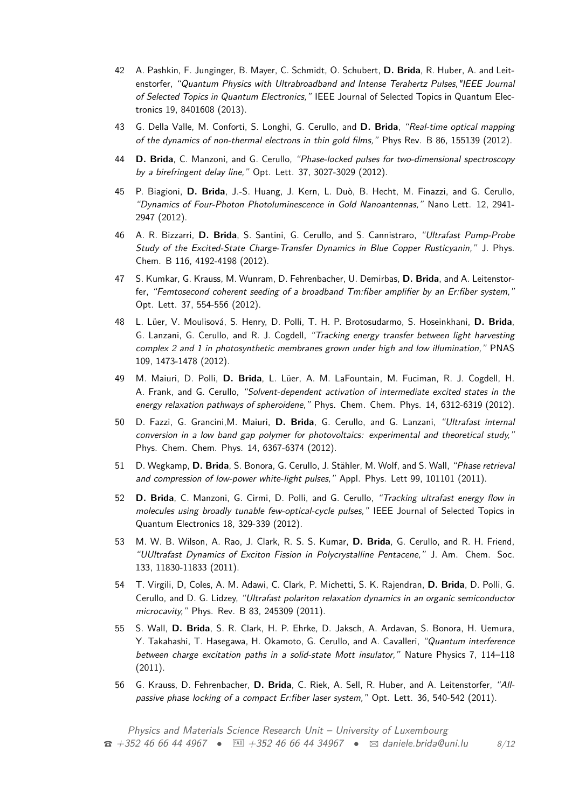- 42 A. Pashkin, F. Junginger, B. Mayer, C. Schmidt, O. Schubert, **D. Brida**, R. Huber, A. and Leitenstorfer, "Quantum Physics with Ultrabroadband and Intense Terahertz Pulses,"IEEE Journal of Selected Topics in Quantum Electronics," IEEE Journal of Selected Topics in Quantum Electronics 19, 8401608 (2013).
- 43 G. Della Valle, M. Conforti, S. Longhi, G. Cerullo, and **D. Brida**, "Real-time optical mapping of the dynamics of non-thermal electrons in thin gold films," Phys Rev. B 86, 155139 (2012).
- 44 **D. Brida**, C. Manzoni, and G. Cerullo, "Phase-locked pulses for two-dimensional spectroscopy by a birefringent delay line," Opt. Lett. 37, 3027-3029 (2012).
- 45 P. Biagioni, **D. Brida**, J.-S. Huang, J. Kern, L. Duò, B. Hecht, M. Finazzi, and G. Cerullo, "Dynamics of Four-Photon Photoluminescence in Gold Nanoantennas," Nano Lett. 12, 2941- 2947 (2012).
- 46 A. R. Bizzarri, **D. Brida**, S. Santini, G. Cerullo, and S. Cannistraro, "Ultrafast Pump-Probe Study of the Excited-State Charge-Transfer Dynamics in Blue Copper Rusticyanin," J. Phys. Chem. B 116, 4192-4198 (2012).
- 47 S. Kumkar, G. Krauss, M. Wunram, D. Fehrenbacher, U. Demirbas, **D. Brida**, and A. Leitenstorfer, "Femtosecond coherent seeding of a broadband Tm:fiber amplifier by an Er:fiber system," Opt. Lett. 37, 554-556 (2012).
- 48 L. Lüer, V. Moulisová, S. Henry, D. Polli, T. H. P. Brotosudarmo, S. Hoseinkhani, **D. Brida**, G. Lanzani, G. Cerullo, and R. J. Cogdell, "Tracking energy transfer between light harvesting complex 2 and 1 in photosynthetic membranes grown under high and low illumination," PNAS 109, 1473-1478 (2012).
- 49 M. Maiuri, D. Polli, **D. Brida**, L. Lüer, A. M. LaFountain, M. Fuciman, R. J. Cogdell, H. A. Frank, and G. Cerullo, "Solvent-dependent activation of intermediate excited states in the energy relaxation pathways of spheroidene," Phys. Chem. Chem. Phys. 14, 6312-6319 (2012).
- 50 D. Fazzi, G. Grancini,M. Maiuri, **D. Brida**, G. Cerullo, and G. Lanzani, "Ultrafast internal conversion in a low band gap polymer for photovoltaics: experimental and theoretical study," Phys. Chem. Chem. Phys. 14, 6367-6374 (2012).
- 51 D. Wegkamp, **D. Brida**, S. Bonora, G. Cerullo, J. Stähler, M. Wolf, and S. Wall, "Phase retrieval and compression of low-power white-light pulses," Appl. Phys. Lett 99, 101101 (2011).
- 52 **D. Brida**, C. Manzoni, G. Cirmi, D. Polli, and G. Cerullo, "Tracking ultrafast energy flow in molecules using broadly tunable few-optical-cycle pulses," IEEE Journal of Selected Topics in Quantum Electronics 18, 329-339 (2012).
- 53 M. W. B. Wilson, A. Rao, J. Clark, R. S. S. Kumar, **D. Brida**, G. Cerullo, and R. H. Friend, "UUltrafast Dynamics of Exciton Fission in Polycrystalline Pentacene," J. Am. Chem. Soc. 133, 11830-11833 (2011).
- 54 T. Virgili, D, Coles, A. M. Adawi, C. Clark, P. Michetti, S. K. Rajendran, **D. Brida**, D. Polli, G. Cerullo, and D. G. Lidzey, "Ultrafast polariton relaxation dynamics in an organic semiconductor microcavity," Phys. Rev. B 83, 245309 (2011).
- 55 S. Wall, **D. Brida**, S. R. Clark, H. P. Ehrke, D. Jaksch, A. Ardavan, S. Bonora, H. Uemura, Y. Takahashi, T. Hasegawa, H. Okamoto, G. Cerullo, and A. Cavalleri, "Quantum interference between charge excitation paths in a solid-state Mott insulator," Nature Physics 7, 114–118 (2011).
- 56 G. Krauss, D. Fehrenbacher, **D. Brida**, C. Riek, A. Sell, R. Huber, and A. Leitenstorfer, "Allpassive phase locking of a compact Er:fiber laser system," Opt. Lett. 36, 540-542 (2011).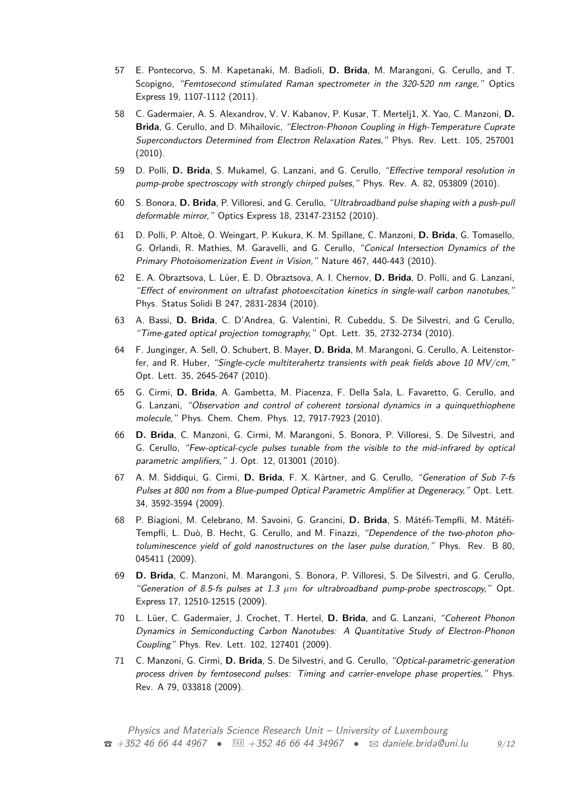- 57 E. Pontecorvo, S. M. Kapetanaki, M. Badioli, **D. Brida**, M. Marangoni, G. Cerullo, and T. Scopigno, "Femtosecond stimulated Raman spectrometer in the 320-520 nm range," Optics Express 19, 1107-1112 (2011).
- 58 C. Gadermaier, A. S. Alexandrov, V. V. Kabanov, P. Kusar, T. Mertelj1, X. Yao, C. Manzoni, **D. Brida**, G. Cerullo, and D. Mihailovic, "Electron-Phonon Coupling in High-Temperature Cuprate Superconductors Determined from Electron Relaxation Rates," Phys. Rev. Lett. 105, 257001 (2010).
- 59 D. Polli, **D. Brida**, S. Mukamel, G. Lanzani, and G. Cerullo, "Effective temporal resolution in pump-probe spectroscopy with strongly chirped pulses," Phys. Rev. A. 82, 053809 (2010).
- 60 S. Bonora, **D. Brida**, P. Villoresi, and G. Cerullo, "Ultrabroadband pulse shaping with a push-pull deformable mirror," Optics Express 18, 23147-23152 (2010).
- 61 D. Polli, P. Altoè, O. Weingart, P. Kukura, K. M. Spillane, C. Manzoni, **D. Brida**, G. Tomasello, G. Orlandi, R. Mathies, M. Garavelli, and G. Cerullo, "Conical Intersection Dynamics of the Primary Photoisomerization Event in Vision," Nature 467, 440-443 (2010).
- 62 E. A. Obraztsova, L. Lüer, E. D. Obraztsova, A. I. Chernov, **D. Brida**, D. Polli, and G. Lanzani, "Effect of environment on ultrafast photoexcitation kinetics in single-wall carbon nanotubes," Phys. Status Solidi B 247, 2831-2834 (2010).
- 63 A. Bassi, **D. Brida**, C. D'Andrea, G. Valentini, R. Cubeddu, S. De Silvestri, and G Cerullo, "Time-gated optical projection tomography," Opt. Lett. 35, 2732-2734 (2010).
- 64 F. Junginger, A. Sell, O. Schubert, B. Mayer, **D. Brida**, M. Marangoni, G. Cerullo, A. Leitenstorfer, and R. Huber, "Single-cycle multiterahertz transients with peak fields above 10 MV/cm," Opt. Lett. 35, 2645-2647 (2010).
- 65 G. Cirmi, **D. Brida**, A. Gambetta, M. Piacenza, F. Della Sala, L. Favaretto, G. Cerullo, and G. Lanzani, "Observation and control of coherent torsional dynamics in a quinquethiophene molecule," Phys. Chem. Chem. Phys. 12, 7917-7923 (2010).
- 66 **D. Brida**, C. Manzoni, G. Cirmi, M. Marangoni, S. Bonora, P. Villoresi, S. De Silvestri, and G. Cerullo, "Few-optical-cycle pulses tunable from the visible to the mid-infrared by optical parametric amplifiers," J. Opt. 12, 013001 (2010).
- 67 A. M. Siddiqui, G. Cirmi, **D. Brida**, F. X. Kärtner, and G. Cerullo, "Generation of Sub 7-fs Pulses at 800 nm from a Blue-pumped Optical Parametric Amplifier at Degeneracy," Opt. Lett. 34, 3592-3594 (2009).
- 68 P. Biagioni, M. Celebrano, M. Savoini, G. Grancini, **D. Brida**, S. Mátéfi-Tempfli, M. Mátéfi-Tempfli, L. Duò, B. Hecht, G. Cerullo, and M. Finazzi, "Dependence of the two-photon photoluminescence yield of gold nanostructures on the laser pulse duration," Phys. Rev. B 80, 045411 (2009).
- 69 **D. Brida**, C. Manzoni, M. Marangoni, S. Bonora, P. Villoresi, S. De Silvestri, and G. Cerullo, "Generation of 8.5-fs pulses at 1.3  $\mu$ m for ultrabroadband pump-probe spectroscopy," Opt. Express 17, 12510-12515 (2009).
- 70 L. Lüer, C. Gadermaier, J. Crochet, T. Hertel, **D. Brida**, and G. Lanzani, "Coherent Phonon Dynamics in Semiconducting Carbon Nanotubes: A Quantitative Study of Electron-Phonon Coupling" Phys. Rev. Lett. 102, 127401 (2009).
- 71 C. Manzoni, G. Cirmi, **D. Brida**, S. De Silvestri, and G. Cerullo, "Optical-parametric-generation process driven by femtosecond pulses: Timing and carrier-envelope phase properties," Phys. Rev. A 79, 033818 (2009).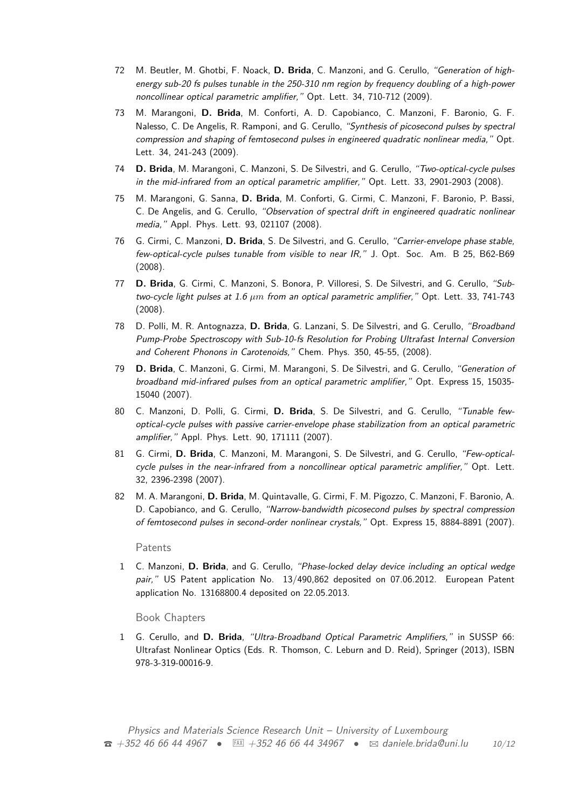- 72 M. Beutler, M. Ghotbi, F. Noack, **D. Brida**, C. Manzoni, and G. Cerullo, "Generation of highenergy sub-20 fs pulses tunable in the 250-310 nm region by frequency doubling of a high-power noncollinear optical parametric amplifier," Opt. Lett. 34, 710-712 (2009).
- 73 M. Marangoni, **D. Brida**, M. Conforti, A. D. Capobianco, C. Manzoni, F. Baronio, G. F. Nalesso, C. De Angelis, R. Ramponi, and G. Cerullo, "Synthesis of picosecond pulses by spectral compression and shaping of femtosecond pulses in engineered quadratic nonlinear media," Opt. Lett. 34, 241-243 (2009).
- 74 **D. Brida**, M. Marangoni, C. Manzoni, S. De Silvestri, and G. Cerullo, "Two-optical-cycle pulses in the mid-infrared from an optical parametric amplifier," Opt. Lett. 33, 2901-2903 (2008).
- 75 M. Marangoni, G. Sanna, **D. Brida**, M. Conforti, G. Cirmi, C. Manzoni, F. Baronio, P. Bassi, C. De Angelis, and G. Cerullo, "Observation of spectral drift in engineered quadratic nonlinear media," Appl. Phys. Lett. 93, 021107 (2008).
- 76 G. Cirmi, C. Manzoni, **D. Brida**, S. De Silvestri, and G. Cerullo, "Carrier-envelope phase stable, few-optical-cycle pulses tunable from visible to near IR," J. Opt. Soc. Am. B 25, B62-B69 (2008).
- 77 **D. Brida**, G. Cirmi, C. Manzoni, S. Bonora, P. Villoresi, S. De Silvestri, and G. Cerullo, "Subtwo-cycle light pulses at 1.6 *µm* from an optical parametric amplifier," Opt. Lett. 33, 741-743 (2008).
- 78 D. Polli, M. R. Antognazza, **D. Brida**, G. Lanzani, S. De Silvestri, and G. Cerullo, "Broadband Pump-Probe Spectroscopy with Sub-10-fs Resolution for Probing Ultrafast Internal Conversion and Coherent Phonons in Carotenoids," Chem. Phys. 350, 45-55, (2008).
- 79 **D. Brida**, C. Manzoni, G. Cirmi, M. Marangoni, S. De Silvestri, and G. Cerullo, "Generation of broadband mid-infrared pulses from an optical parametric amplifier," Opt. Express 15, 15035- 15040 (2007).
- 80 C. Manzoni, D. Polli, G. Cirmi, **D. Brida**, S. De Silvestri, and G. Cerullo, "Tunable fewoptical-cycle pulses with passive carrier-envelope phase stabilization from an optical parametric amplifier," Appl. Phys. Lett. 90, 171111 (2007).
- 81 G. Cirmi, **D. Brida**, C. Manzoni, M. Marangoni, S. De Silvestri, and G. Cerullo, "Few-opticalcycle pulses in the near-infrared from a noncollinear optical parametric amplifier," Opt. Lett. 32, 2396-2398 (2007).
- 82 M. A. Marangoni, **D. Brida**, M. Quintavalle, G. Cirmi, F. M. Pigozzo, C. Manzoni, F. Baronio, A. D. Capobianco, and G. Cerullo, "Narrow-bandwidth picosecond pulses by spectral compression of femtosecond pulses in second-order nonlinear crystals," Opt. Express 15, 8884-8891 (2007).

#### Patents

1 C. Manzoni, **D. Brida**, and G. Cerullo, "Phase-locked delay device including an optical wedge pair," US Patent application No. 13/490,862 deposited on 07.06.2012. European Patent application No. 13168800.4 deposited on 22.05.2013.

#### Book Chapters

1 G. Cerullo, and **D. Brida**, "Ultra-Broadband Optical Parametric Amplifiers," in SUSSP 66: Ultrafast Nonlinear Optics (Eds. R. Thomson, C. Leburn and D. Reid), Springer (2013), ISBN 978-3-319-00016-9.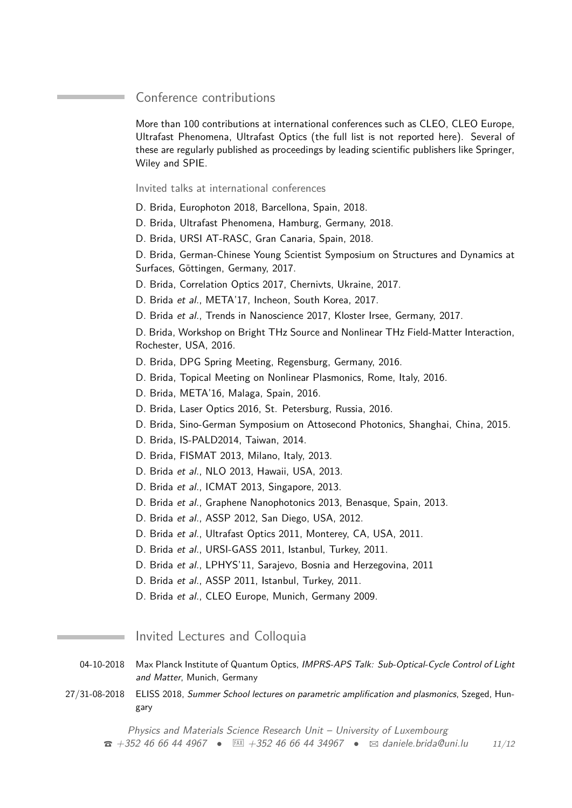## Conference contributions

More than 100 contributions at international conferences such as CLEO, CLEO Europe, Ultrafast Phenomena, Ultrafast Optics (the full list is not reported here). Several of these are regularly published as proceedings by leading scientific publishers like Springer, Wiley and SPIE.

Invited talks at international conferences

D. Brida, Europhoton 2018, Barcellona, Spain, 2018.

D. Brida, Ultrafast Phenomena, Hamburg, Germany, 2018.

D. Brida, URSI AT-RASC, Gran Canaria, Spain, 2018.

D. Brida, German-Chinese Young Scientist Symposium on Structures and Dynamics at Surfaces, Göttingen, Germany, 2017.

D. Brida, Correlation Optics 2017, Chernivts, Ukraine, 2017.

D. Brida et al., META'17, Incheon, South Korea, 2017.

D. Brida et al., Trends in Nanoscience 2017, Kloster Irsee, Germany, 2017.

D. Brida, Workshop on Bright THz Source and Nonlinear THz Field-Matter Interaction, Rochester, USA, 2016.

D. Brida, DPG Spring Meeting, Regensburg, Germany, 2016.

D. Brida, Topical Meeting on Nonlinear Plasmonics, Rome, Italy, 2016.

D. Brida, META'16, Malaga, Spain, 2016.

D. Brida, Laser Optics 2016, St. Petersburg, Russia, 2016.

D. Brida, Sino-German Symposium on Attosecond Photonics, Shanghai, China, 2015.

D. Brida, IS-PALD2014, Taiwan, 2014.

D. Brida, FISMAT 2013, Milano, Italy, 2013.

D. Brida et al., NLO 2013, Hawaii, USA, 2013.

D. Brida et al., ICMAT 2013, Singapore, 2013.

D. Brida et al., Graphene Nanophotonics 2013, Benasque, Spain, 2013.

D. Brida et al., ASSP 2012, San Diego, USA, 2012.

D. Brida et al., Ultrafast Optics 2011, Monterey, CA, USA, 2011.

D. Brida et al., URSI-GASS 2011, Istanbul, Turkey, 2011.

D. Brida et al., LPHYS'11, Sarajevo, Bosnia and Herzegovina, 2011

D. Brida et al., ASSP 2011, Istanbul, Turkey, 2011.

D. Brida et al., CLEO Europe, Munich, Germany 2009.

Invited Lectures and Colloquia

<span id="page-10-0"></span>04-10-2018 Max Planck Institute of Quantum Optics, IMPRS-APS Talk: Sub-Optical-Cycle Control of Light and Matter, Munich, Germany

27/31-08-2018 ELISS 2018, Summer School lectures on parametric amplification and plasmonics, Szeged, Hungary

Physics and Materials Science Research Unit – University of Luxembourg T +352 46 66 44 4967 • u +352 46 66 44 34967 • B [daniele.brida@uni.lu](mailto:daniele.brida@uni.lu) 11[/12](#page-10-0)